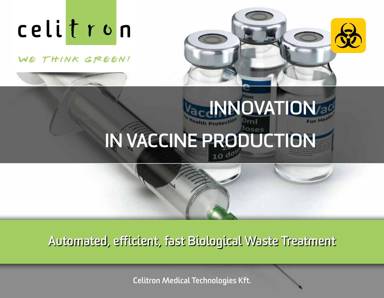WE THINK GREEN!



# **NOVATION IN VACCINE PRODUCTION**

**Automated, efficient, fast Biological Waste Treatment** 

**Celitron Medical Technologies Kft.**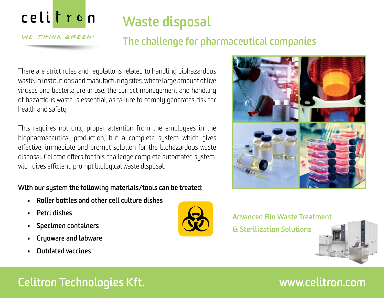WE THINK GREEN!

# **Waste disposal**

## **The challenge for pharmaceutical companies**

There are strict rules and regulations related to handling biohazardous waste. In institutions and manufacturing sites, where large amount of live viruses and bacteria are in use, the correct management and handling of hazardous waste is essential, as failure to comply generates risk for health and safety.

This requires not only proper attention from the employees in the biopharmaceutical production, but a complete system which gives effective, immediate and prompt solution for the biohazardous waste disposal. Celitron offers for this challenge complete automated system, wich gives efficient, prompt biological waste disposal.

### **With our system the following materials/tools can be treated:**

- **• Roller bottles and other cell culture dishes**
- **• Petri dishes**
- **• Specimen containers**
- **• Cryoware and labware**
- **• Outdated vaccines**





**Advanced Bio Waste Treatment**

**& Sterilization Solutions**



# **Celitron Technologies Kft.**

## **www.celitron.com**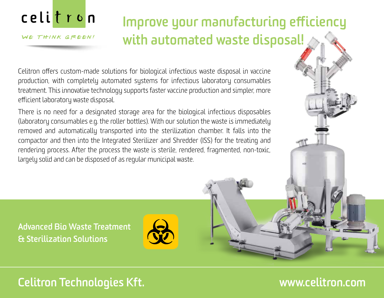

#### WE THINK GREEN!

# **Improve your manufacturing efficiency with automated waste disposal!**

Celitron offers custom-made solutions for biological infectious waste disposal in vaccine production, with completely automated systems for infectious laboratory consumables treatment. This innovative technology supports faster vaccine production and simpler, more efficient laboratory waste disposal.

There is no need for a designated storage area for the biological infectious disposables (laboratory consumables e.g. the roller bottles). With our solution the waste is immediately removed and automatically transported into the sterilization chamber. It falls into the compactor and then into the Integrated Sterilizer and Shredder (ISS) for the treating and rendering process. After the process the waste is sterile, rendered, fragmented, non-toxic, largely solid and can be disposed of as regular municipal waste.

**Advanced Bio Waste Treatment & Sterilization Solutions**

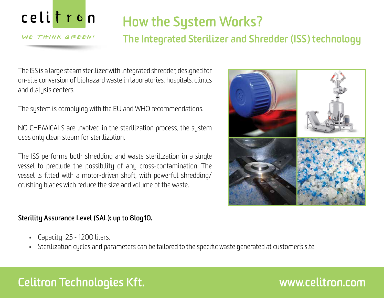WE THINK GREEN!

# **How the System Works?**

### **The Integrated Sterilizer and Shredder (ISS) technology**

The ISS is a large steam sterilizer with integrated shredder, designed for on-site conversion of biohazard waste in laboratories, hospitals, clinics and dialysis centers.

The system is complying with the EU and WHO recommendations.

NO CHEMICALS are involved in the sterilization process, the system uses only clean steam for sterilization.

The ISS performs both shredding and waste sterilization in a single vessel to preclude the possibility of any cross-contamination. The vessel is fitted with a motor-driven shaft, with powerful shredding/ crushing blades wich reduce the size and volume of the waste.



### **Sterility Assurance Level (SAL): up to 8log10.**

- Capacity: 25 1200 liters.
- Sterilization cycles and parameters can be tailored to the specific waste generated at customer's site.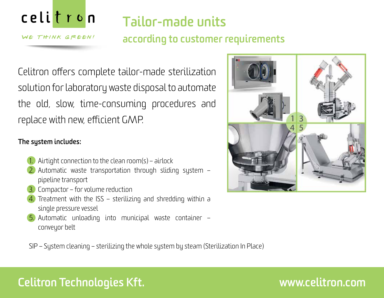

WE THINK GREEN!

# **Tailor-made units**

## **according to customer requirements**

Celitron offers complete tailor-made sterilization solution for laboratory waste disposal to automate the old, slow, time-consuming procedures and replace with new, efficient GMP.

### **The system includes:**

- Airtight connection to the clean room(s) airlock
- 2. Automatic waste transportation through sliding system pipeline transport
- 3. Compactor for volume reduction
- 4. Treatment with the ISS sterilizing and shredding within a single pressure vessel
- 5. Automatic unloading into municipal waste container conveyor belt



SIP – System cleaning – sterilizing the whole system by steam (Sterilization In Place)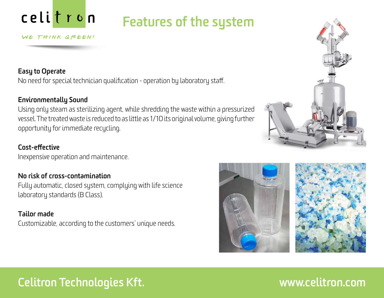# **Features of the system**

#### WE THINK GREEN!

### **Easy to Operate**

No need for special technician qualification - operation by laboratory staff.

### **Environmentally Sound**

Using only steam as sterilizing agent, while shredding the waste within a pressurized vessel. The treated waste is reduced to as little as 1/10 its original volume, giving further opportunity for immediate recycling.

#### **Cost-effective**

Inexpensive operation and maintenance.

### **No risk of cross-contamination**

Fully automatic, closed system, complying with life science laboratory standards (B Class).

#### **Tailor made**

Customizable, according to the customers' unique needs.



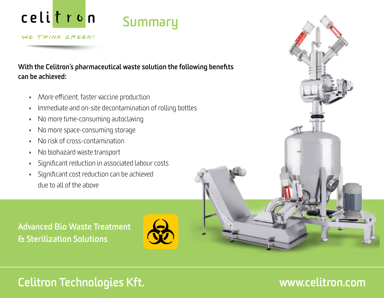# **Summary**

WE THINK GREEN!

**With the Celitron's pharmaceutical waste solution the following benefits can be achieved:**

- More efficient, faster vaccine production
- Immediate and on-site decontamination of rolling bottles
- No more time-consuming autoclaving
- No more space-consuming storage
- No risk of cross-contamination
- No biohazard waste transport
- Significant reduction in associated labour costs
- Significant cost reduction can be achieved due to all of the above

**Advanced Bio Waste Treatment & Sterilization Solutions**